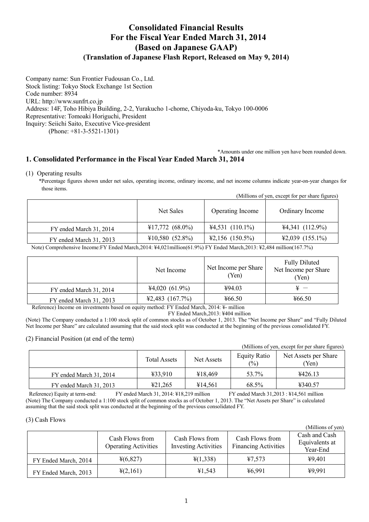# **Consolidated Financial Results For the Fiscal Year Ended March 31, 2014 (Based on Japanese GAAP) (Translation of Japanese Flash Report, Released on May 9, 2014)**

Company name: Sun Frontier Fudousan Co., Ltd. Stock listing: Tokyo Stock Exchange 1st Section Code number: 8934 URL: http://www.sunfrt.co.jp Address: 14F, Toho Hibiya Building, 2-2, Yurakucho 1-chome, Chiyoda-ku, Tokyo 100-0006 Representative: Tomoaki Horiguchi, President Inquiry: Seiichi Saito, Executive Vice-president

(Phone: +81-3-5521-1301)

## \*Amounts under one million yen have been rounded down. **1. Consolidated Performance in the Fiscal Year Ended March 31, 2014**

## (1) Operating results

\*Percentage figures shown under net sales, operating income, ordinary income, and net income columns indicate year-on-year changes for those items.

|                         | Net Sales                 | Operating Income          | Ordinary Income                      |
|-------------------------|---------------------------|---------------------------|--------------------------------------|
| FY ended March 31, 2014 | $\text{\#}17,772$ (68.0%) | $44,531$ (110.1%)         | $44,341(112.9\%)$                    |
| FY ended March 31, 2013 | $¥10,580$ (52.8%)         | $\text{\#2,156}$ (150.5%) | $\text{\textsterling}2,039$ (155.1%) |

Note) Comprehensive Income:FY Ended March,2014: ¥4,021million(61.9%) FY Ended March,2013: ¥2,484 million(167.7%)

| Net Income        | Net Income per Share<br>Yen) | <b>Fully Diluted</b><br>Net Income per Share<br>(Yen) |
|-------------------|------------------------------|-------------------------------------------------------|
| $44,020(61.9\%)$  | ¥94.03                       |                                                       |
| $42,483$ (167.7%) | 466.50                       | 466.50                                                |
|                   |                              |                                                       |

Reference) Income on investments based on equity method: FY Ended March, 2014: ¥- million

FY Ended March,2013: ¥404 million

(Note) The Company conducted a 1:100 stock split of common stocks as of October 1, 2013. The "Net Income per Share" and "Fully Diluted Net Income per Share" are calculated assuming that the said stock split was conducted at the beginning of the previous consolidated FY.

## (2) Financial Position (at end of the term)

|                         |                     |            |                                       | (Millions of yen, except for per share figures) |
|-------------------------|---------------------|------------|---------------------------------------|-------------------------------------------------|
|                         | <b>Total Assets</b> | Net Assets | <b>Equity Ratio</b><br>$\binom{0}{0}$ | Net Assets per Share<br>(Yen)                   |
| FY ended March 31, 2014 | ¥33.910             | ¥18.469    | 53.7%                                 | 4426.13                                         |
| FY ended March 31, 2013 | 421,265             | ¥14.561    | 68.5%                                 | ¥340.57                                         |

Reference) Equity at term-end: FY ended March 31, 2014: ¥18,219 million FY ended March 31,2013 : ¥14,561 million (Note) The Company conducted a 1:100 stock split of common stocks as of October 1, 2013. The "Net Assets per Share" is calculated assuming that the said stock split was conducted at the beginning of the previous consolidated FY.

## (3) Cash Flows

|                      |                                                |                                                |                                                | (Millions of yen)                           |
|----------------------|------------------------------------------------|------------------------------------------------|------------------------------------------------|---------------------------------------------|
|                      | Cash Flows from<br><b>Operating Activities</b> | Cash Flows from<br><b>Investing Activities</b> | Cash Flows from<br><b>Financing Activities</b> | Cash and Cash<br>Equivalents at<br>Year-End |
| FY Ended March, 2014 | $\frac{1}{2}(6,827)$                           | $\frac{1}{2}(1,338)$                           | 47,573                                         | 49,401                                      |
| FY Ended March, 2013 | $\frac{1}{2}(2,161)$                           | 41,543                                         | ¥6,991                                         | ¥9,991                                      |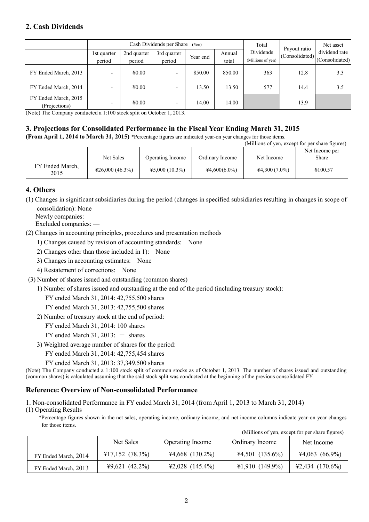## **2. Cash Dividends**

|                                       | Cash Dividends per Share<br>(Yen) |                            |                          |          | Total           | Payout ratio                   | Net asset      |                                 |
|---------------------------------------|-----------------------------------|----------------------------|--------------------------|----------|-----------------|--------------------------------|----------------|---------------------------------|
|                                       | 1st quarter<br>period             | 2nd quarter<br>period      | 3rd quarter<br>period    | Year end | Annual<br>total | Dividends<br>(Millions of yen) | (Consolidated) | dividend rate<br>(Consolidated) |
| FY Ended March, 2013                  | -                                 | $\text{\textsterling}0.00$ |                          | 850.00   | 850.00          | 363                            | 12.8           | 3.3                             |
| FY Ended March, 2014                  |                                   | $\text{\textsterling}0.00$ |                          | 13.50    | 13.50           | 577                            | 14.4           | 3.5                             |
| FY Ended March, 2015<br>(Projections) |                                   | $\text{\textsterling}0.00$ | $\overline{\phantom{0}}$ | 14.00    | 14.00           |                                | 13.9           |                                 |

(Note) The Company conducted a 1:100 stock split on October 1, 2013.

# **3. Projections for Consolidated Performance in the Fiscal Year Ending March 31, 2015**

**(From April 1, 2014 to March 31, 2015)** \*Percentage figures are indicated year-on year changes for those items.

|                         |                                            |                  |                 | (Millions of yen, except for per share figures) |                |
|-------------------------|--------------------------------------------|------------------|-----------------|-------------------------------------------------|----------------|
|                         |                                            |                  |                 |                                                 | Net Income per |
|                         | Net Sales                                  | Operating Income | Ordinary Income | Net Income                                      | Share          |
| FY Ended March,<br>2015 | $\text{\textsterling}26,000\,\, (46.3\% )$ | $45,000(10.3\%)$ | $44,600(6.0\%)$ | $44,300(7.0\%)$                                 | ¥100.57        |

## **4. Others**

(1) Changes in significant subsidiaries during the period (changes in specified subsidiaries resulting in changes in scope of consolidation): None

Newly companies: —

Excluded companies: —

(2) Changes in accounting principles, procedures and presentation methods

- 1) Changes caused by revision of accounting standards: None
- 2) Changes other than those included in 1): None
- 3) Changes in accounting estimates: None
- 4) Restatement of corrections: None
- (3) Number of shares issued and outstanding (common shares)
	- 1) Number of shares issued and outstanding at the end of the period (including treasury stock):

FY ended March 31, 2014: 42,755,500 shares

- FY ended March 31, 2013: 42,755,500 shares
- 2) Number of treasury stock at the end of period:

FY ended March 31, 2014: 100 shares

FY ended March 31, 2013:  $-$  shares

3) Weighted average number of shares for the period:

FY ended March 31, 2014: 42,755,454 shares

FY ended March 31, 2013: 37,349,500 shares

(Note) The Company conducted a 1:100 stock split of common stocks as of October 1, 2013. The number of shares issued and outstanding (common shares) is calculated assuming that the said stock split was conducted at the beginning of the previous consolidated FY.

## **Reference: Overview of Non-consolidated Performance**

1. Non-consolidated Performance in FY ended March 31, 2014 (from April 1, 2013 to March 31, 2014)

(1) Operating Results

\*Percentage figures shown in the net sales, operating income, ordinary income, and net income columns indicate year-on year changes for those items.

|                      |                   |                   |                   | (Millions of yen, except for per share figures) |
|----------------------|-------------------|-------------------|-------------------|-------------------------------------------------|
|                      | Net Sales         | Operating Income  | Ordinary Income   | Net Income                                      |
| FY Ended March, 2014 | $¥17,152$ (78.3%) | $44,668$ (130.2%) | $44,501$ (135.6%) | $44,063$ (66.9%)                                |
| FY Ended March, 2013 | $49,621$ (42.2%)  | $42,028$ (145.4%) | $41,910(149.9\%)$ | $42,434$ (170.6%)                               |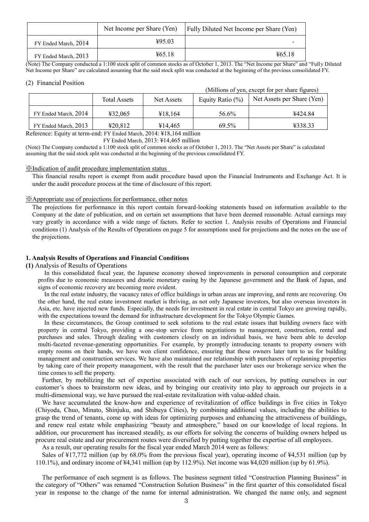|                      | Net Income per Share (Yen) | <b>Fully Diluted Net Income per Share (Yen)</b> |
|----------------------|----------------------------|-------------------------------------------------|
| FY Ended March, 2014 | 495.03                     |                                                 |
| FY Ended March, 2013 | 465.18                     | 465.18                                          |

(Note) The Company conducted a 1:100 stock split of common stocks as of October 1, 2013. The "Net Income per Share" and "Fully Diluted Net Income per Share" are calculated assuming that the said stock split was conducted at the beginning of the previous consolidated FY.

#### (2) Financial Position

(Millions of yen, except for per share figures)

|                      | <b>Total Assets</b> | Net Assets | Equity Ratio $(\%)$ | Net Assets per Share (Yen) |
|----------------------|---------------------|------------|---------------------|----------------------------|
| FY Ended March, 2014 | 432.065             | ¥18.164    | 56.6%               | ¥424.84                    |
| FY Ended March, 2013 | 420.812             | ¥14.465    | 69.5%               | ¥338.33                    |

Reference: Equity at term-end: FY Ended March, 2014: ¥18,164 million

FY Ended March, 2013: ¥14,465 million

(Note) The Company conducted a 1:100 stock split of common stocks as of October 1, 2013. The "Net Assets per Share" is calculated assuming that the said stock split was conducted at the beginning of the previous consolidated FY.

#### ※Indication of audit procedure implementation status

This financial results report is exempt from audit procedure based upon the Financial Instruments and Exchange Act. It is under the audit procedure process at the time of disclosure of this report.

#### ※Appropriate use of projections for performance, other notes

The projections for performance in this report contain forward-looking statements based on information available to the Company at the date of publication, and on certain set assumptions that have been deemed reasonable. Actual earnings may vary greatly in accordance with a wide range of factors. Refer to section 1. Analysis results of Operations and Financial conditions (1) Analysis of the Results of Operations on page 5 for assumptions used for projections and the notes on the use of the projections.

## **1. Analysis Results of Operations and Financial Conditions**

## **(1)** Analysis of Results of Operations

In this consolidated fiscal year, the Japanese economy showed improvements in personal consumption and corporate profits due to economic measures and drastic monetary easing by the Japanese government and the Bank of Japan, and signs of economic recovery are becoming more evident.

In the real estate industry, the vacancy rates of office buildings in urban areas are improving, and rents are recovering. On the other hand, the real estate investment market is thriving, as not only Japanese investors, but also overseas investors in Asia, etc. have injected new funds. Especially, the needs for investment in real estate in central Tokyo are growing rapidly, with the expectations toward the demand for infrastructure development for the Tokyo Olympic Games.

In these circumstances, the Group continued to seek solutions to the real estate issues that building owners face with property in central Tokyo, providing a one-stop service from negotiations to management, construction, rental and purchases and sales. Through dealing with customers closely on an individual basis, we have been able to develop multi-faceted revenue-generating opportunities. For example, by promptly introducing tenants to property owners with empty rooms on their hands, we have won client confidence, ensuring that these owners later turn to us for building management and construction services. We have also maintained our relationship with purchasers of replanning properties by taking care of their property management, with the result that the purchaser later uses our brokerage service when the time comes to sell the property.

Further, by mobilizing the set of expertise associated with each of our services, by putting ourselves in our customer's shoes to brainstorm new ideas, and by bringing our creativity into play to approach our projects in a multi-dimensional way, we have pursued the real-estate revitalization with value-added chain.

We have accumulated the know-how and experience of revitalization of office buildings in five cities in Tokyo (Chiyoda, Chuo, Minato, Shinjuku, and Shibuya Cities), by combining additional values, including the abilities to grasp the trend of tenants, come up with ideas for optimizing purposes and enhancing the attractiveness of buildings, and renew real estate while emphasizing "beauty and atmosphere," based on our knowledge of local regions. In addition, our procurement has increased steadily, as our efforts for solving the concerns of building owners helped us procure real estate and our procurement routes were diversified by putting together the expertise of all employees.

As a result, our operating results for the fiscal year ended March 2014 were as follows:

Sales of ¥17,772 million (up by 68.0% from the previous fiscal year), operating income of ¥4,531 million (up by 110.1%), and ordinary income of ¥4,341 million (up by 112.9%). Net income was ¥4,020 million (up by 61.9%).

The performance of each segment is as follows. The business segment titled "Construction Planning Business" in the category of "Others" was renamed "Construction Solution Business" in the first quarter of this consolidated fiscal year in response to the change of the name for internal administration. We changed the name only, and segment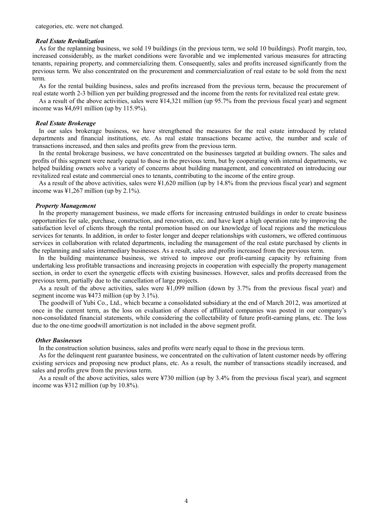#### *Real Estate Revitalization*

As for the replanning business, we sold 19 buildings (in the previous term, we sold 10 buildings). Profit margin, too, increased considerably, as the market conditions were favorable and we implemented various measures for attracting tenants, repairing property, and commercializing them. Consequently, sales and profits increased significantly from the previous term. We also concentrated on the procurement and commercialization of real estate to be sold from the next term.

As for the rental building business, sales and profits increased from the previous term, because the procurement of real estate worth 2-3 billion yen per building progressed and the income from the rents for revitalized real estate grew.

As a result of the above activities, sales were ¥14,321 million (up 95.7% from the previous fiscal year) and segment income was ¥4,691 million (up by 115.9%).

#### *Real Estate Brokerage*

In our sales brokerage business, we have strengthened the measures for the real estate introduced by related departments and financial institutions, etc. As real estate transactions became active, the number and scale of transactions increased, and then sales and profits grew from the previous term.

In the rental brokerage business, we have concentrated on the businesses targeted at building owners. The sales and profits of this segment were nearly equal to those in the previous term, but by cooperating with internal departments, we helped building owners solve a variety of concerns about building management, and concentrated on introducing our revitalized real estate and commercial ones to tenants, contributing to the income of the entire group.

As a result of the above activities, sales were ¥1,620 million (up by 14.8% from the previous fiscal year) and segment income was ¥1,267 million (up by 2.1%).

#### *Property Management*

In the property management business, we made efforts for increasing entrusted buildings in order to create business opportunities for sale, purchase, construction, and renovation, etc. and have kept a high operation rate by improving the satisfaction level of clients through the rental promotion based on our knowledge of local regions and the meticulous services for tenants. In addition, in order to foster longer and deeper relationships with customers, we offered continuous services in collaboration with related departments, including the management of the real estate purchased by clients in the replanning and sales intermediary businesses. As a result, sales and profits increased from the previous term.

In the building maintenance business, we strived to improve our profit-earning capacity by refraining from undertaking less profitable transactions and increasing projects in cooperation with especially the property management section, in order to exert the synergetic effects with existing businesses. However, sales and profits decreased from the previous term, partially due to the cancellation of large projects.

As a result of the above activities, sales were ¥1,099 million (down by 3.7% from the previous fiscal year) and segment income was ¥473 million (up by 3.1%).

The goodwill of Yubi Co., Ltd., which became a consolidated subsidiary at the end of March 2012, was amortized at once in the current term, as the loss on evaluation of shares of affiliated companies was posted in our company's non-consolidated financial statements, while considering the collectability of future profit-earning plans, etc. The loss due to the one-time goodwill amortization is not included in the above segment profit.

#### *Other Businesses*

In the construction solution business, sales and profits were nearly equal to those in the previous term.

As for the delinquent rent guarantee business, we concentrated on the cultivation of latent customer needs by offering existing services and proposing new product plans, etc. As a result, the number of transactions steadily increased, and sales and profits grew from the previous term.

As a result of the above activities, sales were ¥730 million (up by 3.4% from the previous fiscal year), and segment income was ¥312 million (up by 10.8%).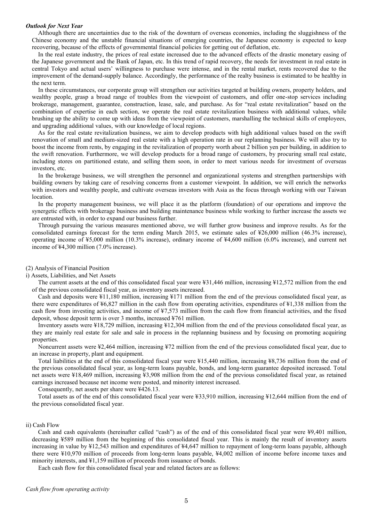#### *Outlook for Next Year*

Although there are uncertainties due to the risk of the downturn of overseas economies, including the sluggishness of the Chinese economy and the unstable financial situations of emerging countries, the Japanese economy is expected to keep recovering, because of the effects of governmental financial policies for getting out of deflation, etc.

In the real estate industry, the prices of real estate increased due to the advanced effects of the drastic monetary easing of the Japanese government and the Bank of Japan, etc. In this trend of rapid recovery, the needs for investment in real estate in central Tokyo and actual users' willingness to purchase were intense, and in the rental market, rents recovered due to the improvement of the demand-supply balance. Accordingly, the performance of the realty business is estimated to be healthy in the next term.

In these circumstances, our corporate group will strengthen our activities targeted at building owners, property holders, and wealthy people, grasp a broad range of troubles from the viewpoint of customers, and offer one-stop services including brokerage, management, guarantee, construction, lease, sale, and purchase. As for "real estate revitalization" based on the combination of expertise in each section, we operate the real estate revitalization business with additional values, while brushing up the ability to come up with ideas from the viewpoint of customers, marshalling the technical skills of employees, and upgrading additional values, with our knowledge of local regions.

As for the real estate revitalization business, we aim to develop products with high additional values based on the swift renovation of small and medium-sized real estate with a high operation rate in our replanning business. We will also try to boost the income from rents, by engaging in the revitalization of property worth about 2 billion yen per building, in addition to the swift renovation. Furthermore, we will develop products for a broad range of customers, by procuring small real estate, including stores on partitioned estate, and selling them soon, in order to meet various needs for investment of overseas investors, etc.

In the brokerage business, we will strengthen the personnel and organizational systems and strengthen partnerships with building owners by taking care of resolving concerns from a customer viewpoint. In addition, we will enrich the networks with investors and wealthy people, and cultivate overseas investors with Asia as the focus through working with our Taiwan location.

In the property management business, we will place it as the platform (foundation) of our operations and improve the synergetic effects with brokerage business and building maintenance business while working to further increase the assets we are entrusted with, in order to expand our business further.

Through pursuing the various measures mentioned above, we will further grow business and improve results. As for the consolidated earnings forecast for the term ending March 2015, we estimate sales of ¥26,000 million (46.3% increase), operating income of ¥5,000 million (10.3% increase), ordinary income of ¥4,600 million (6.0% increase), and current net income of ¥4,300 million (7.0% increase).

#### (2) Analysis of Financial Position

#### i) Assets, Liabilities, and Net Assets

The current assets at the end of this consolidated fiscal year were ¥31,446 million, increasing ¥12,572 million from the end of the previous consolidated fiscal year, as inventory assets increased.

Cash and deposits were ¥11,180 million, increasing ¥171 million from the end of the previous consolidated fiscal year, as there were expenditures of ¥6,827 million in the cash flow from operating activities, expenditures of ¥1,338 million from the cash flow from investing activities, and income of ¥7,573 million from the cash flow from financial activities, and the fixed deposit, whose deposit term is over 3 months, increased ¥761 million.

Inventory assets were ¥18,729 million, increasing ¥12,304 million from the end of the previous consolidated fiscal year, as they are mainly real estate for sale and sale in process in the replanning business and by focusing on promoting acquiring properties.

Noncurrent assets were ¥2,464 million, increasing ¥72 million from the end of the previous consolidated fiscal year, due to an increase in property, plant and equipment.

Total liabilities at the end of this consolidated fiscal year were ¥15,440 million, increasing ¥8,736 million from the end of the previous consolidated fiscal year, as long-term loans payable, bonds, and long-term guarantee deposited increased. Total net assets were ¥18,469 million, increasing ¥3,908 million from the end of the previous consolidated fiscal year, as retained earnings increased because net income were posted, and minority interest increased.

Consequently, net assets per share were ¥426.13.

Total assets as of the end of this consolidated fiscal year were ¥33,910 million, increasing ¥12,644 million from the end of the previous consolidated fiscal year.

#### ii) Cash Flow

Cash and cash equivalents (hereinafter called "cash") as of the end of this consolidated fiscal year were ¥9,401 million, decreasing ¥589 million from the beginning of this consolidated fiscal year. This is mainly the result of inventory assets increasing in value by ¥12,543 million and expenditures of ¥4,647 million to repayment of long-term loans payable, although there were ¥10,970 million of proceeds from long-term loans payable, ¥4,002 million of income before income taxes and minority interests, and \\$1,159 million of proceeds from issuance of bonds.

Each cash flow for this consolidated fiscal year and related factors are as follows: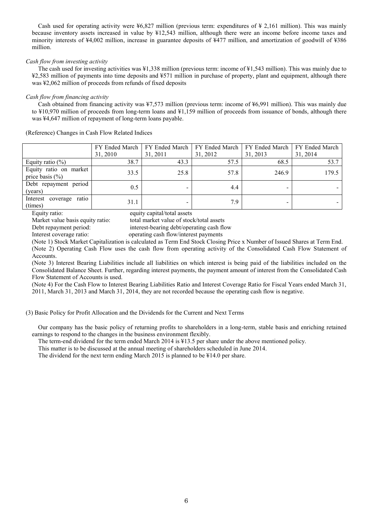Cash used for operating activity were ¥6,827 million (previous term: expenditures of ¥ 2,161 million). This was mainly because inventory assets increased in value by ¥12,543 million, although there were an income before income taxes and minority interests of ¥4,002 million, increase in guarantee deposits of ¥477 million, and amortization of goodwill of ¥386 million.

## *Cash flow from investing activity*

The cash used for investing activities was ¥1,338 million (previous term: income of ¥1,543 million). This was mainly due to ¥2,583 million of payments into time deposits and ¥571 million in purchase of property, plant and equipment, although there was ¥2,062 million of proceeds from refunds of fixed deposits

## *Cash flow from financing activity*

Cash obtained from financing activity was ¥7,573 million (previous term: income of ¥6,991 million). This was mainly due to ¥10,970 million of proceeds from long-term loans and ¥1,159 million of proceeds from issuance of bonds, although there was ¥4,647 million of repayment of long-term loans payable.

(Reference) Changes in Cash Flow Related Indices

|                                               |          | FY Ended March   FY Ended March   FY Ended March   FY Ended March   FY Ended March |          |          |          |
|-----------------------------------------------|----------|------------------------------------------------------------------------------------|----------|----------|----------|
|                                               | 31, 2010 | 31, 2011                                                                           | 31, 2012 | 31, 2013 | 31, 2014 |
| Equity ratio $(\%)$                           | 38.7     | 43.3                                                                               | 57.5     | 68.5     | 53.7     |
| Equity ratio on market<br>price basis $(\% )$ | 33.5     | 25.8                                                                               | 57.8     | 246.9    | 179.5    |
| Debt repayment period<br>(years)              | 0.5      | -                                                                                  | 4.4      |          |          |
| Interest coverage<br>ratio<br>(times)         | 31.1     |                                                                                    | 7.9      |          |          |

Equity ratio: equity capital/total assets<br>Market value basis equity ratio: total market value of stoc

total market value of stock/total assets

Debt repayment period: interest-bearing debt/operating cash flow

Interest coverage ratio: operating cash flow/interest payments

(Note 1) Stock Market Capitalization is calculated as Term End Stock Closing Price x Number of Issued Shares at Term End. (Note 2) Operating Cash Flow uses the cash flow from operating activity of the Consolidated Cash Flow Statement of

Accounts.

(Note 3) Interest Bearing Liabilities include all liabilities on which interest is being paid of the liabilities included on the Consolidated Balance Sheet. Further, regarding interest payments, the payment amount of interest from the Consolidated Cash Flow Statement of Accounts is used.

(Note 4) For the Cash Flow to Interest Bearing Liabilities Ratio and Interest Coverage Ratio for Fiscal Years ended March 31, 2011, March 31, 2013 and March 31, 2014, they are not recorded because the operating cash flow is negative.

(3) Basic Policy for Profit Allocation and the Dividends for the Current and Next Terms

Our company has the basic policy of returning profits to shareholders in a long-term, stable basis and enriching retained earnings to respond to the changes in the business environment flexibly.

The term-end dividend for the term ended March 2014 is ¥13.5 per share under the above mentioned policy.

This matter is to be discussed at the annual meeting of shareholders scheduled in June 2014.

The dividend for the next term ending March 2015 is planned to be ¥14.0 per share.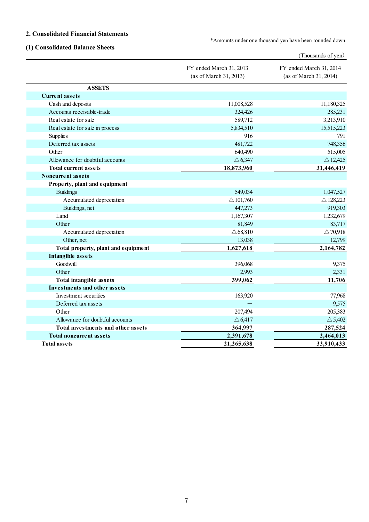## **2. Consolidated Financial Statements**

\*Amounts under one thousand yen have been rounded down.

## **(1) Consolidated Balance Sheets**

|                                     |                                                   | (Thousands of yen)                                |
|-------------------------------------|---------------------------------------------------|---------------------------------------------------|
|                                     | FY ended March 31, 2013<br>(as of March 31, 2013) | FY ended March 31, 2014<br>(as of March 31, 2014) |
| <b>ASSETS</b>                       |                                                   |                                                   |
| <b>Current assets</b>               |                                                   |                                                   |
| Cash and deposits                   | 11,008,528                                        | 11,180,325                                        |
| Accounts receivable-trade           | 324,426                                           | 285,231                                           |
| Real estate for sale                | 589,712                                           | 3,213,910                                         |
| Real estate for sale in process     | 5,834,510                                         | 15,515,223                                        |
| <b>Supplies</b>                     | 916                                               | 791                                               |
| Deferred tax assets                 | 481,722                                           | 748,356                                           |
| Other                               | 640,490                                           | 515,005                                           |
| Allowance for doubtful accounts     | $\triangle 6,347$                                 | $\triangle$ 12,425                                |
| <b>Total current assets</b>         | 18,873,960                                        | 31,446,419                                        |
| <b>Noncurrent assets</b>            |                                                   |                                                   |
| Property, plant and equipment       |                                                   |                                                   |
| <b>Buildings</b>                    | 549,034                                           | 1,047,527                                         |
| Accumulated depreciation            | $\triangle$ 101,760                               | $\triangle$ 128,223                               |
| Buildings, net                      | 447,273                                           | 919,303                                           |
| Land                                | 1,167,307                                         | 1,232,679                                         |
| Other                               | 81,849                                            | 83,717                                            |
| Accumulated depreciation            | $\triangle 68,810$                                | $\triangle$ 70,918                                |
| Other, net                          | 13,038                                            | 12,799                                            |
| Total property, plant and equipment | 1,627,618                                         | 2,164,782                                         |
| Intangible assets                   |                                                   |                                                   |
| Goodwill                            | 396,068                                           | 9,375                                             |
| Other                               | 2,993                                             | 2,331                                             |
| <b>Total intangible assets</b>      | 399,062                                           | 11,706                                            |
| <b>Investments and other assets</b> |                                                   |                                                   |
| Investment securities               | 163,920                                           | 77,968                                            |
| Deferred tax assets                 |                                                   | 9,575                                             |
| Other                               | 207,494                                           | 205,383                                           |
| Allowance for doubtful accounts     | $\triangle$ 6,417                                 | $\triangle$ 5,402                                 |
| Total investments and other assets  | 364,997                                           | 287,524                                           |
| <b>Total noncurrent assets</b>      | 2,391,678                                         | 2,464,013                                         |
| <b>Total assets</b>                 | 21,265,638                                        | 33,910,433                                        |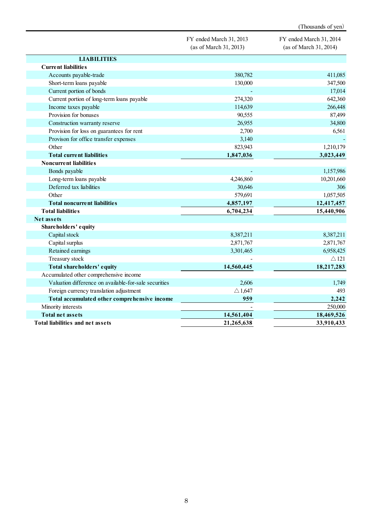|                                                       |                                                   | (Thousands of yen)                                |
|-------------------------------------------------------|---------------------------------------------------|---------------------------------------------------|
|                                                       | FY ended March 31, 2013<br>(as of March 31, 2013) | FY ended March 31, 2014<br>(as of March 31, 2014) |
| <b>LIABILITIES</b>                                    |                                                   |                                                   |
| <b>Current liabilities</b>                            |                                                   |                                                   |
| Accounts payable-trade                                | 380,782                                           | 411,085                                           |
| Short-term loans payable                              | 130,000                                           | 347,500                                           |
| Current portion of bonds                              |                                                   | 17,014                                            |
| Current portion of long-term loans payable            | 274,320                                           | 642,360                                           |
| Income taxes payable                                  | 114,639                                           | 266,448                                           |
| Provision for bonuses                                 | 90,555                                            | 87,499                                            |
| Construction warranty reserve                         | 26,955                                            | 34,800                                            |
| Provision for loss on guarantees for rent             | 2,700                                             | 6,561                                             |
| Provison for office transfer expenses                 | 3,140                                             |                                                   |
| Other                                                 | 823,943                                           | 1,210,179                                         |
| <b>Total current liabilities</b>                      | 1,847,036                                         | 3,023,449                                         |
| <b>Noncurrent liabilities</b>                         |                                                   |                                                   |
| Bonds payable                                         |                                                   | 1,157,986                                         |
| Long-term loans payable                               | 4,246,860                                         | 10,201,660                                        |
| Deferred tax liabilities                              | 30,646                                            | 306                                               |
| Other                                                 | 579,691                                           | 1,057,505                                         |
| <b>Total noncurrent liabilities</b>                   | 4,857,197                                         | 12,417,457                                        |
| <b>Total liabilities</b>                              | 6,704,234                                         | 15,440,906                                        |
| <b>Net assets</b>                                     |                                                   |                                                   |
| Shareholders' equity                                  |                                                   |                                                   |
| Capital stock                                         | 8,387,211                                         | 8,387,211                                         |
| Capital surplus                                       | 2,871,767                                         | 2,871,767                                         |
| Retained earnings                                     | 3,301,465                                         | 6,958,425                                         |
| Treasury stock                                        |                                                   | $\triangle$ 121                                   |
| Total shareholders' equity                            | 14,560,445                                        | 18,217,283                                        |
| Accumulated other comprehensive income                |                                                   |                                                   |
| Valuation difference on available-for-sale securities | 2,606                                             | 1,749                                             |
| Foreign currency translation adjustment               | $\triangle$ 1,647                                 | 493                                               |
| Total accumulated other comprehensive income          | 959                                               | 2,242                                             |
| Minority interests                                    |                                                   | 250,000                                           |
| <b>Total net assets</b>                               | 14,561,404                                        | 18,469,526                                        |
| Total liabilities and net assets                      | 21,265,638                                        | 33,910,433                                        |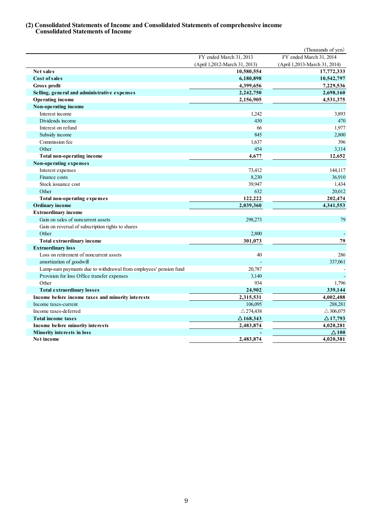## **(2) Consolidated Statements of Income and Consolidated Statements of comprehensive income Consolidated Statements of Income**

|                                                                  |                               | (Thousands of yen)            |
|------------------------------------------------------------------|-------------------------------|-------------------------------|
|                                                                  | FY ended March 31, 2013       | FY ended March 31, 2014       |
|                                                                  | (April 1,2012-March 31, 2013) | (April 1,2013-March 31, 2014) |
| Net sales                                                        | 10,580,554                    | 17,772,333                    |
| <b>Cost of sales</b>                                             | 6,180,898                     | 10,542,797                    |
| Gross profit                                                     | 4,399,656                     | 7,229,536                     |
| Selling, general and administrative expenses                     | 2,242,750                     | 2,698,160                     |
| <b>Operating income</b>                                          | 2,156,905                     | 4,531,375                     |
| Non-operating income                                             |                               |                               |
| Interest income                                                  | 1,242                         | 3,893                         |
| Dividends income                                                 | 430                           | 470                           |
| Interest on refund                                               | 66                            | 1,977                         |
| Subsidy income                                                   | 845                           | 2,800                         |
| Commission fee                                                   | 1,637                         | 396                           |
| Other                                                            | 454                           | 3,114                         |
| Total non-operating income                                       | 4,677                         | 12,652                        |
| Non-operating expenses                                           |                               |                               |
| Interest expenses                                                | 73,412                        | 144,117                       |
| Finance costs                                                    | 8,230                         | 36,910                        |
| Stock issuance cost                                              | 39,947                        | 1,434                         |
| Other                                                            | 632                           | 20,012                        |
| Total non-operating expenses                                     | 122,222                       | 202,474                       |
| <b>Ordinary income</b>                                           | 2,039,360                     | 4,341,553                     |
| <b>Extraordinary income</b>                                      |                               |                               |
| Gain on sales of noncurrent assets                               | 298,273                       | 79                            |
| Gain on reversal of subscription rights to shares                |                               |                               |
| Other                                                            | 2,800                         |                               |
| <b>Total extraordinary income</b>                                | 301,073                       | 79                            |
| <b>Extraordinary loss</b>                                        |                               |                               |
| Loss on retirement of noncurrent assets                          | 40                            | 286                           |
| amortization of goodwill                                         |                               | 337,061                       |
| Lump-sum paymants due to withdrawal from employees' pension fund | 20,787                        |                               |
| Provision for loss Office transfer expenses                      | 3,140                         |                               |
| Other                                                            | 934                           | 1,796                         |
| <b>Total extraordinary losses</b>                                | 24,902                        | 339,144                       |
| Income before income taxes and minority interests                | 2,315,531                     | 4,002,488                     |
| Income taxes-current                                             | 106,095                       | 288,281                       |
| Income taxes-deferred                                            | $\triangle$ 274,438           | $\triangle$ 306,075           |
| <b>Total income taxes</b>                                        | $\triangle$ 168,343           | $\triangle$ 17,793            |
| Income before minority interests                                 | 2,483,874                     | 4,020,281                     |
| <b>Minority interests in loss</b>                                |                               | $\Delta 100$                  |
| Net income                                                       | 2,483,874                     | 4,020,381                     |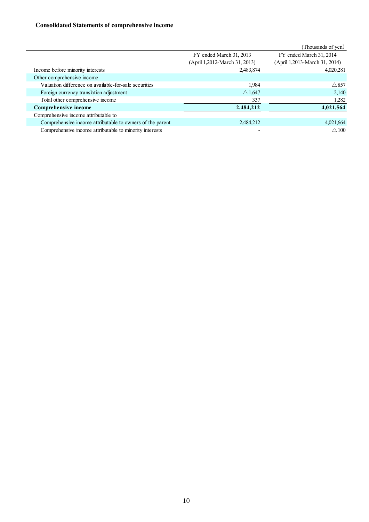## **Consolidated Statements of comprehensive income**

|                                                           |                               | (Thousands of yen)            |
|-----------------------------------------------------------|-------------------------------|-------------------------------|
|                                                           | FY ended March 31, 2013       | FY ended March 31, 2014       |
|                                                           | (April 1,2012-March 31, 2013) | (April 1,2013-March 31, 2014) |
| Income before minority interests                          | 2,483,874                     | 4,020,281                     |
| Other comprehensive income                                |                               |                               |
| Valuation difference on available-for-sale securities     | 1.984                         | $\triangle$ 857               |
| Foreign currency translation adjustment                   | $\triangle$ 1,647             | 2,140                         |
| Total other comprehensive income                          | 337                           | 1,282                         |
| Comprehensive income                                      | 2,484,212                     | 4,021,564                     |
| Comprehensive income attributable to                      |                               |                               |
| Comprehensive income attributable to owners of the parent | 2,484,212                     | 4,021,664                     |
| Comprehensive income attributable to minority interests   |                               | $\triangle$ 100               |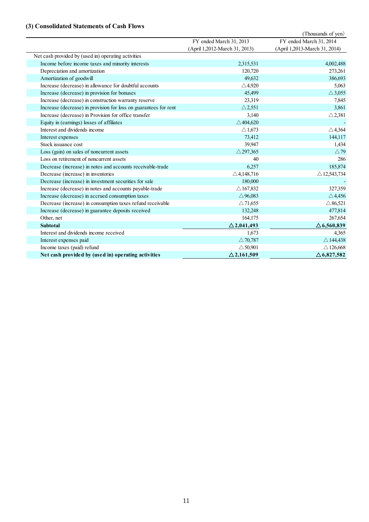# **(3) Consolidated Statements of Cash Flows**

|                                                                  |                               | (Thousands of yen)            |
|------------------------------------------------------------------|-------------------------------|-------------------------------|
|                                                                  | FY ended March 31, 2013       | FY ended March 31, 2014       |
|                                                                  | (April 1,2012-March 31, 2013) | (April 1,2013-March 31, 2014) |
| Net cash provided by (used in) operating activities              |                               |                               |
| Income before income taxes and minority interests                | 2,315,531                     | 4,002,488                     |
| Depreciation and amortization                                    | 120,720                       | 273,261                       |
| Amortization of goodwill                                         | 49.632                        | 386,693                       |
| Increase (decrease) in allowance for doubtful accounts           | $\triangle$ 4,920             | 5,063                         |
| Increase (decrease) in provision for bonuses                     | 45,499                        | $\triangle$ 3,055             |
| Increase (decrease) in construction warranty reserve             | 23,319                        | 7,845                         |
| Increase (decrease) in provision for loss on guarantees for rent | $\triangle$ 2.551             | 3,861                         |
| Increase (decrease) in Provision for office transfer             | 3,140                         | $\triangle$ 2,381             |
| Equity in (earnings) losses of affiliates                        | $\triangle$ 404,620           |                               |
| Interest and dividends income                                    | $\triangle$ 1,673             | $\triangle$ 4,364             |
| Interest expenses                                                | 73,412                        | 144,117                       |
| Stock issuance cost                                              | 39.947                        | 1,434                         |
| Loss (gain) on sales of noncurrent assets                        | $\triangle$ 297,365           | $\triangle$ 79                |
| Loss on retirement of noncurrent assets                          | 40                            | 286                           |
| Decrease (increase) in notes and accounts receivable-trade       | 6,257                         | 185,874                       |
| Decrease (increase) in inventories                               | $\triangle$ 4,148,716         | $\triangle$ 12,543,734        |
| Decrease (increase) in investment securities for sale            | 180,000                       |                               |
| Increase (decrease) in notes and accounts payable-trade          | $\triangle$ 167,832           | 327,359                       |
| Increase (decrease) in accrued consumption taxes                 | $\triangle$ 96,083            | $\triangle$ 4,456             |
| Decrease (increase) in consumption taxes refund receivable       | $\triangle$ 71,655            | $\triangle$ 86,521            |
| Increase (decrease) in guarantee deposits received               | 132,248                       | 477,814                       |
| Other, net                                                       | 164,175                       | 267,654                       |
| <b>Subtotal</b>                                                  | $\triangle$ 2,041,493         | $\triangle$ 6,560,839         |
| Interest and dividends income received                           | 1,673                         | 4,365                         |
| Interest expenses paid                                           | $\triangle$ 70,787            | $\triangle$ 144,438           |
| Income taxes (paid) refund                                       | $\triangle$ 50,901            | $\triangle$ 126,668           |
| Net cash provided by (used in) operating activities              | $\triangle$ 2,161,509         | $\triangle$ 6,827,582         |